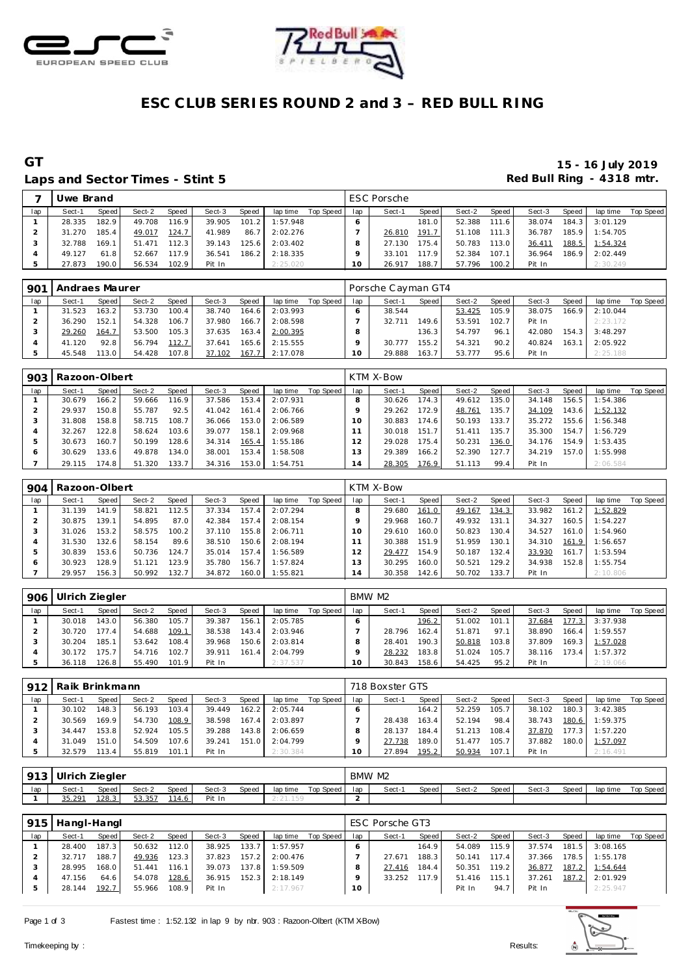



# **ESC CLUB SERIES ROUND 2 and 3 – RED BULL RING**

### Laps and Sector Times - Stint 5 **Exercise 2 and Sector Times - Stint 5 Red Bull Ring - 4318 mtr.**

# **GT 15 - 16 July 2019**

|     | Uwe Brand |       |        |       |        |       |          |           |        | <b>ESC Porsche</b> |       |        |       |        |       |          |           |
|-----|-----------|-------|--------|-------|--------|-------|----------|-----------|--------|--------------------|-------|--------|-------|--------|-------|----------|-----------|
| lap | Sect-1    | Speed | Sect-2 | Speed | Sect-3 | Speed | lap time | Top Speed | lap    | Sect-1             | Speed | Sect-2 | Speed | Sect-3 | Speed | lap time | Top Speed |
|     | 28.335    | 182.9 | 49.708 | 116.9 | 39.905 | 101.2 | 1:57.948 |           |        |                    | 181.0 | 52.388 | 111.6 | 38.074 | 184.3 | 3:01.129 |           |
|     | 31.270    | 185.4 | 49.017 | 124.7 | 41.989 | 86.7  | 2:02.276 |           |        | 26.810             | 191.7 | 51.108 | 111.3 | 36.787 | 185.9 | 1:54.705 |           |
|     | 32.788    | 169.1 | 51.471 | 112.3 | 39.143 | 125.6 | 2:03.402 |           |        | 27.130             | 175.4 | 50.783 | 113.0 | 36.411 | 188.5 | 1:54.324 |           |
|     | 49.127    | 61.8  | 52.667 | 117.9 | 36.541 | 186.2 | 2:18.335 |           |        | 33.101             | 117.9 | 52.384 | 107.1 | 36.964 | 186.9 | 2:02.449 |           |
|     | 27.873    | 190.0 | 56.534 | 102.9 | Pit In |       | 2:25.020 |           | $10-1$ | 26.917             | 188.7 | 57.796 | 100.2 | Pit In |       | 2:30.249 |           |

| 901 | Andraes Maurer |                    |        |       |        |       |          |           |     | Porsche Cayman GT4 |       |        |       |        |       |                |           |
|-----|----------------|--------------------|--------|-------|--------|-------|----------|-----------|-----|--------------------|-------|--------|-------|--------|-------|----------------|-----------|
| lap | Sect-1         | Speed              | Sect-2 | Speed | Sect-3 | Speed | lap time | Top Speed | lap | Sect-1             | Speed | Sect-2 | Speed | Sect-3 | Speed | lap time       | Top Speed |
|     | 31.523         | 163.2 <sub>1</sub> | 53.730 | 100.4 | 38.740 | 164.6 | 2:03.993 |           |     | 38.544             |       | 53.425 | 105.9 | 38.075 |       | 166.9 2:10.044 |           |
|     | 36.290         | 152.1              | 54.328 | 106.7 | 37.980 | 166.7 | 2:08.598 |           |     | 32.711             | 149.6 | 53.591 | 102.7 | Pit In |       | 2:23.172       |           |
|     | 29.260         | 164.7              | 53.500 | 105.3 | 37.635 | 163.4 | 2:00.395 |           |     |                    | 136.3 | 54.797 | 96.1  | 42.080 | 154.3 | 3:48.297       |           |
|     | 41.120         | 92.8               | 56.794 | 112.7 | 37.641 | 165.6 | 2:15.555 |           |     | 30.777             | 155.2 | 54.321 | 90.2  | 40.824 | 163.1 | 2:05.922       |           |
|     | 45.548         | 113.O L            | 54.428 | 107.8 | 37.102 | 167.7 | 2:17.078 |           |     | 29.888             | 163.7 | 53.777 | 95.6  | Pit In |       | 2:25.188       |           |

| 903 | Razoon-Olbert |        |        |                    |        |       |          |           |              | KTM X-Bow |                    |        |       |        |       |          |           |
|-----|---------------|--------|--------|--------------------|--------|-------|----------|-----------|--------------|-----------|--------------------|--------|-------|--------|-------|----------|-----------|
| lap | Sect-1        | Speed! | Sect-2 | Speed              | Sect-3 | Speed | lap time | Top Speed | lap          | Sect-1    | Speed              | Sect-2 | Speed | Sect-3 | Speed | lap time | Top Speed |
|     | 30.679        | 166.2  | 59.666 | 116.9 <sub>1</sub> | 37.586 | 153.4 | 2:07.931 |           |              | 30.626    | 174.3              | 49.612 | 135.0 | 34.148 | 156.5 | 1:54.386 |           |
|     | 29.937        | 150.8  | 55.787 | 92.5               | 41.042 | 161.4 | 2:06.766 |           |              | 29.262    | 172.9              | 48.761 | 135.7 | 34.109 | 143.6 | 1:52.132 |           |
|     | 31.808        | 158.8  | 58.715 | 108.7              | 36.066 | 153.0 | 2:06.589 |           | 10           | 30.883    | 174.6              | 50.193 | 133.7 | 35.272 | 155.6 | 1:56.348 |           |
|     | 32.267        | 122.8  | 58.624 | 103.6              | 39.077 | 158.1 | 2:09.968 |           |              | 30.018    | 151.7 <sub>1</sub> | 51.411 | 135.7 | 35.300 | 154.7 | 1:56.729 |           |
| 5   | 30.673        | 160.7  | 50.199 | 128.6              | 34.314 | 165.4 | 1:55.186 |           |              | 29.028    | 175.4              | 50.231 | 136.0 | 34.176 | 154.9 | 1:53.435 |           |
| O   | 30.629        | 133.6  | 49.878 | 134.0              | 38.001 | 153.4 | 1:58.508 |           | 3            | 29.389    | 166.2              | 52.390 | 127.7 | 34.219 | 157.0 | 1:55.998 |           |
|     | 29.115        | 174.8  | 51.320 | 133.7              | 34.316 | 153.0 | 1:54.751 |           | $^{\circ}$ 4 | 28.305    | 176.9              | 51.113 | 99.4  | Pit In |       | 2:06.584 |           |

| 904 | Razoon-Olbert |       |        |       |        |       |          |           |     | KTM X-Bow |       |        |       |        |       |          |           |
|-----|---------------|-------|--------|-------|--------|-------|----------|-----------|-----|-----------|-------|--------|-------|--------|-------|----------|-----------|
| lap | Sect-1        | Speed | Sect-2 | Speed | Sect-3 | Speed | lap time | Top Speed | lap | Sect-1    | Speed | Sect-2 | Speed | Sect-3 | Speed | lap time | Top Speed |
|     | 31.139        | 141.9 | 58.821 | 112.5 | 37.334 | 157.4 | 2:07.294 |           |     | 29.680    | 161.0 | 49.167 | 134.3 | 33.982 | 161.2 | 1:52.829 |           |
|     | 30.875        | 139.1 | 54.895 | 87.0  | 42.384 | 157.4 | 2:08.154 |           |     | 29.968    | 160.7 | 49.932 | 131.1 | 34.327 | 160.5 | 1:54.227 |           |
| ×.  | 31.026        | 153.2 | 58.575 | 100.2 | 37.110 | 155.8 | 2:06.711 |           |     | 29.610    | 160.0 | 50.823 | 30.4  | 34.527 | 161.0 | 1:54.960 |           |
|     | 31.530        | 132.6 | 58.154 | 89.6  | 38.510 | 150.6 | 2:08.194 |           |     | 30.388    | 151.9 | 51.959 | 130.1 | 34.310 | 161.9 | 1:56.657 |           |
|     | 30.839        | 153.6 | 50.736 | 124.7 | 35.014 | 157.4 | 1:56.589 |           |     | 29.477    | 154.9 | 50.187 | 132.4 | 33.930 | 161.7 | 1:53.594 |           |
| Ð   | 30.923        | 128.9 | 51.121 | 123.9 | 35.780 | 156.7 | 1:57.824 |           | 3   | 30.295    | 160.0 | 50.521 | 129.2 | 34.938 | 152.8 | 1:55.754 |           |
|     | 29.957        | 156.3 | 50.992 | 132.7 | 34.872 | 160.0 | 1:55.821 |           | 14  | 30.358    | 142.6 | 50.702 | 133.7 | Pit In |       | 2:10.806 |           |

| 906 | Ulrich Ziegler |       |        |       |        |       |          |           |         | BMW M2 |       |        |       |        |       |          |           |
|-----|----------------|-------|--------|-------|--------|-------|----------|-----------|---------|--------|-------|--------|-------|--------|-------|----------|-----------|
| lap | Sect-1         | Speed | Sect-2 | Speed | Sect-3 | Speed | lap time | Top Speed | lap     | Sect-1 | Speed | Sect-2 | Speed | Sect-3 | Speed | lap time | Top Speed |
|     | 30.018         | 143.0 | 56.380 | 105.7 | 39.387 | 156.1 | 2:05.785 |           |         |        | 196.2 | 51.002 | 101.1 | 37.684 | 177.3 | 3:37.938 |           |
|     | 30.720         | 177.4 | 54.688 | 109.1 | 38.538 | 143.4 | 2:03.946 |           |         | 28.796 | 162.4 | 51.871 | 97.1  | 38.890 | 166.4 | 1:59.557 |           |
|     | 30.204         | 185.1 | 53.642 | 108.4 | 39.968 | 150.6 | 2:03.814 |           |         | 28.401 | 190.3 | 50.818 | 103.8 | 37.809 | 169.3 | 1:57.028 |           |
|     | 30.172         | 175.7 | 54.716 | 102.7 | 39.911 | 161.4 | 2:04.799 |           |         | 28.232 | 183.8 | 51.024 | 105.7 | 38.116 | 173.4 | 1:57.372 |           |
|     | 36.118         | 126.8 | 55.490 | 101.9 | Pit In |       | 2:37.537 |           | $10-10$ | 30.843 | 158.6 | 54.425 | 95.2  | Pit In |       | 2:19.066 |           |

| 912 | Raik Brinkmann |         |        |       |        |       |          |           |     | 718 Boxster GTS |       |        |       |        |       |          |           |
|-----|----------------|---------|--------|-------|--------|-------|----------|-----------|-----|-----------------|-------|--------|-------|--------|-------|----------|-----------|
| lap | Sect-1         | Speed   | Sect-2 | Speed | Sect-3 | Speed | lap time | Top Speed | lap | Sect-1          | Speed | Sect-2 | Speed | Sect-3 | Speed | lap time | Top Speed |
|     | 30.102         | 148.3   | 56.193 | 103.4 | 39.449 | 162.2 | 2:05.744 |           |     |                 | 164.2 | 52.259 | 105.7 | 38.102 | 180.3 | 3:42.385 |           |
|     | 30.569         | 169.9   | 54.730 | 108.9 | 38.598 | 167.4 | 2:03.897 |           |     | 28.438          | 163.4 | 52.194 | 98.4  | 38.743 | 180.6 | 1:59.375 |           |
|     | 34.447         | 153.81  | 52.924 | 105.5 | 39.288 | 143.8 | 2:06.659 |           |     | 28.137          | 184.4 | 51.213 | 108.4 | 37.870 | 177.3 | 1:57.220 |           |
|     | 31.049         | 151.0   | 54.509 | 107.6 | 39.241 | 151.0 | 2:04.799 |           |     | 27.738          | 189.0 | 51.477 | 105.7 | 37.882 | 180.0 | 1:57.097 |           |
|     | 32.579         | 113.4 I | 55.819 | 101.1 | Pit In |       | 2:30.384 |           |     | 27.894          | 195.2 | 50.934 | 107.1 | Pit In |       | 2:16.491 |           |

| 013<br>ٮ | Ulrich | . Ziegler |        |              |        |       |          |           |     | BMW M2 |       |        |         |        |       |          |           |
|----------|--------|-----------|--------|--------------|--------|-------|----------|-----------|-----|--------|-------|--------|---------|--------|-------|----------|-----------|
| lap      | Sect-  | Speed     | Sect-2 | <b>Speed</b> | Sect-3 | Speed | lap time | Top Speed | lap | Sect-1 | Speed | Sect-2 | Speed I | Sect-3 | Speed | lap time | Top Speed |
|          | 35.291 | 128.3     | 53.357 | 114.6        | Pit In |       | 159      |           |     |        |       |        |         |        |       |          |           |

| 915 | Hangl-Hangl |       |        |       |        |       |          |           |     | ESC Porsche GT3 |       |        |       |        |       |          |           |
|-----|-------------|-------|--------|-------|--------|-------|----------|-----------|-----|-----------------|-------|--------|-------|--------|-------|----------|-----------|
| lap | Sect-1      | Speed | Sect-2 | Speed | Sect-3 | Speed | lap time | Top Speed | lap | Sect-1          | Speed | Sect-2 | Speed | Sect-3 | Speed | lap time | Top Speed |
|     | 28,400      | 187.3 | 50.632 | 112.0 | 38.925 | 133.7 | 1:57.957 |           |     |                 | 164.9 | 54.089 | 115.9 | 37.574 | 181.5 | 3:08.165 |           |
|     | 32.717      | 188.7 | 49.936 | 123.3 | 37.823 | 157.2 | 2:00.476 |           |     | 27.671          | 188.3 | 50.141 | 117.4 | 37.366 | 178.5 | 1:55.178 |           |
|     | 28.995      | 168.0 | 51.441 | 116.1 | 39.073 | 137.8 | 1:59.509 |           |     | 27.416          | 184.4 | 50.351 | 119.2 | 36.877 | 187.2 | 1:54.644 |           |
|     | 47.156      | 64.6  | 54.078 | 128.6 | 36.915 | 152.3 | 2:18.149 |           |     | 33.252          | 117.9 | 51.416 | 115.1 | 37.261 | 187.2 | 2:01.929 |           |
|     | 28.144      | 192.7 | 55.966 | 108.9 | Pit In |       | 2:17.967 |           | 10  |                 |       | Pit In | 94.7  | Pit In |       | 2:25.947 |           |

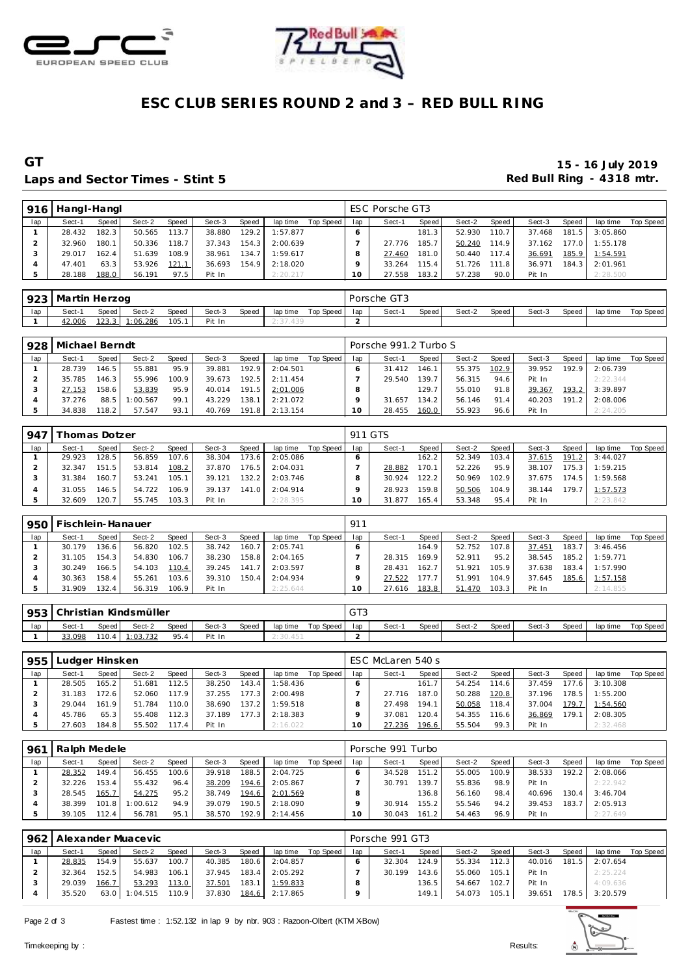



# ESC CLUB SERIES ROUND 2 and 3 - RED BULL RING

### GT Laps and Sector Times - Stint 5

#### 15 - 16 July 2019 Red Bull Ring - 4318 mtr.

| 916 | Hangl-Hangl |       |        |       |        |       |          |           |     | ESC Porsche GT3 |       |        |       |        |       |          |           |
|-----|-------------|-------|--------|-------|--------|-------|----------|-----------|-----|-----------------|-------|--------|-------|--------|-------|----------|-----------|
| lap | Sect-1      | Speed | Sect-2 | Speed | Sect-3 | Speed | lap time | Top Speed | lap | Sect-1          | Speed | Sect-2 | Speed | Sect-3 | Speed | lap time | Top Speed |
|     | 28.432      | 182.3 | 50.565 | 113.7 | 38.880 | 129.2 | 1:57.877 |           |     |                 | 181.3 | 52.930 | 110.7 | 37.468 | 181.5 | 3:05.860 |           |
|     | 32.960      | 180.1 | 50.336 | 118.7 | 37.343 | 154.3 | 2:00.639 |           |     | 27.776          | 185.7 | 50.240 | 114.9 | 37.162 | 177.0 | 1:55.178 |           |
|     | 29.017      | 162.4 | 51.639 | 108.9 | 38.961 | 134.7 | 1:59.617 |           | 8   | 27.460          | 181.0 | 50.440 | 117.4 | 36.691 | 185.9 | 1:54.591 |           |
|     | 47.401      | 63.3  | 53.926 | 121.1 | 36.693 | 154.9 | 2:18.020 |           |     | 33.264          | 115.4 | 51.726 | 111.8 | 36.971 | 184.3 | 2:01.961 |           |
|     | 28.188      | 188.0 | 56.191 | 97.5  | Pit In |       | 2:20.217 |           | 10  | 27.558          | 183.2 | 57.238 | 90.0  | Pit In |       | 2:28.500 |           |

| 923 | Martin Herzog |       |         |       |        |       |          |           |     | Porsche GT3 |       |        |       |        |       |          |           |
|-----|---------------|-------|---------|-------|--------|-------|----------|-----------|-----|-------------|-------|--------|-------|--------|-------|----------|-----------|
| lap | Sect-1        | Speed | Sect-2  | Speed | Sect-3 | Speed | lap time | Top Speed | lap | Sect-       | Speed | Sect-2 | Speed | Sect-3 | Speed | lap time | Top Speed |
|     | 42.006        | 123.3 | :06.286 | 105.  | Pit In |       | : 37.439 |           |     |             |       |        |       |        |       |          |           |

| 928 | Michael Berndt |         |          |       |        |       |          |           |        | Porsche 991.2 Turbo S |                    |        |       |        |       |          |           |
|-----|----------------|---------|----------|-------|--------|-------|----------|-----------|--------|-----------------------|--------------------|--------|-------|--------|-------|----------|-----------|
| lap | Sect-1         | Speed I | Sect-2   | Speed | Sect-3 | Speed | lap time | Top Speed | lap    | Sect-1                | Speed I            | Sect-2 | Speed | Sect-3 | Speed | lap time | Top Speed |
|     | 28.739         | 146.5   | 55.881   | 95.9  | 39.881 | 192.9 | 2:04.501 |           |        | 31.412                | 146.1 <sub>1</sub> | 55.375 | 102.9 | 39.952 | 192.9 | 2:06.739 |           |
|     | 35.785         | 146.3   | 55.996   | 100.9 | 39.673 | 192.5 | 2:11.454 |           |        | 29.540                | 139.7              | 56.315 | 94.6  | Pit In |       | 2:22.344 |           |
|     | 27.153         | 158.6   | 53.839   | 95.9  | 40.014 | 191.5 | 2:01.006 |           |        |                       | 129.7              | 55.010 | 91.8  | 39.367 | 193.2 | 3:39.897 |           |
|     | 37.276         | 88.5    | 1:00.567 | 99.1  | 43.229 | 138.1 | 2:21.072 |           |        | 31.657                | 134.2              | 56.146 | 91.4  | 40.203 | 191.2 | 2:08.006 |           |
|     | 34.838         | 118.2   | 57.547   | 93.1  | 40.769 | 191.8 | 2:13.154 |           | $10-1$ | 28.455                | 160.0              | 55.923 | 96.6  | Pit In |       | 2:24.205 |           |

| 947 |        | 'homas Dotzer |        |       |        |       |          |           |         | 911 GTS |       |        |       |        |        |          |           |
|-----|--------|---------------|--------|-------|--------|-------|----------|-----------|---------|---------|-------|--------|-------|--------|--------|----------|-----------|
| lap | Sect-1 | Speed         | Sect-2 | Speed | Sect-3 | Speed | lap time | Top Speed | lap     | Sect-1  | Speed | Sect-2 | Speed | Sect-3 | Speed  | lap time | Top Speed |
|     | 29.923 | 128.5         | 56.859 | 107.6 | 38.304 | 173.6 | 2:05.086 |           |         |         | 162.2 | 52.349 | 103.4 | 37.615 | 191.2  | 3:44.027 |           |
|     | 32.347 | 151.5         | 53.814 | 108.2 | 37.870 | 176.5 | 2:04.031 |           |         | 28.882  | 170.1 | 52.226 | 95.9  | 38.107 | 175.31 | 1:59.215 |           |
|     | 31.384 | 160.7         | 53.241 | 105.1 | 39.121 | 132.2 | 2:03.746 |           |         | 30.924  | 122.2 | 50.969 | 102.9 | 37.675 | 174.5  | 1:59.568 |           |
|     | 31.055 | 146.5         | 54.722 | 106.9 | 39.137 | 141.0 | 2:04.914 |           |         | 28.923  | 159.8 | 50.506 | 104.9 | 38.144 | 179.7  | 1:57.573 |           |
|     | 32.609 | 120.7         | 55.745 | 103.3 | Pit In |       | 2:28.395 |           | $\circ$ | 31.877  | 165.4 | 53.348 | 95.4  | Pit In |        | 2:23.842 |           |

| 950 | Fischlein-Hanauer |           |        |       |        | 911   |          |           |     |        |         |            |       |        |       |          |           |
|-----|-------------------|-----------|--------|-------|--------|-------|----------|-----------|-----|--------|---------|------------|-------|--------|-------|----------|-----------|
| lap | Sect-1            | Speed     | Sect-2 | Speed | Sect-3 | Speed | lap time | Top Speed | lap | Sect-1 | Speed ! | Sect-2     | Speed | Sect-3 | Speed | lap time | Top Speed |
|     | 30.179            | $136.6 -$ | 56.820 | 102.5 | 38.742 | 160.7 | 2:05.741 |           |     |        | 164.9   | 52.752     | 107.8 | 37.451 | 183.7 | 3:46.456 |           |
|     | 31.105            | 154.3     | 54.830 | 106.7 | 38.230 | 158.8 | 2:04.165 |           |     | 28.315 | 169.9   | 52.911     | 95.2  | 38.545 | 185.2 | 1:59.771 |           |
|     | 30.249            | 166.5     | 54.103 | 110.4 | 39.245 | 141.7 | 2:03.597 |           |     | 28.431 | 162.7   | 51.921     | 105.9 | 37.638 | 183.4 | 1:57.990 |           |
|     | 30.363            | 158.4     | 55.261 | 103.6 | 39.310 | 150.4 | 2:04.934 |           |     | 27.522 | 177.7   | .991<br>51 | 104.9 | 37.645 | 185.6 | 1:57.158 |           |
|     | 31.909            | 132.4     | 56.319 | 106.9 | Pit In |       | 2:25.644 |           |     | 27.616 | 183.8   | 51.470     | 103.3 | Pit In |       | 2:14.855 |           |

|     | 953 Christian Kindsmüller |       |                |       |        |       |          | $\sim$ $\tau$<br>ۍ ا ت |     |        |       |        |         |        |       |          |           |
|-----|---------------------------|-------|----------------|-------|--------|-------|----------|------------------------|-----|--------|-------|--------|---------|--------|-------|----------|-----------|
| lap | Sect-1                    | Speed | Sect-2         | Speed | Sect-3 | Speed | lap time | Top Speed I            | lap | Sect-1 | Speed | Sect-2 | Speed I | Sect-3 | Speed | lap time | Top Speed |
|     | 33.098                    |       | 110.4 1:03.732 | 95.4  | Pit In |       | 2:30.451 |                        |     |        |       |        |         |        |       |          |           |

| 955 | Ludger Hinsken |       |        |       |        | ESC McLaren 540 s |          |           |     |        |       |        |       |        |       |          |           |
|-----|----------------|-------|--------|-------|--------|-------------------|----------|-----------|-----|--------|-------|--------|-------|--------|-------|----------|-----------|
| lap | Sect-1         | Speed | Sect-2 | Speed | Sect-3 | Speed             | lap time | Top Speed | lap | Sect-1 | Speed | Sect-2 | Speed | Sect-3 | Speed | lap time | Top Speed |
|     | 28.505         | 165.2 | 51.681 | 112.5 | 38.250 | 143.4             | 1:58.436 |           |     |        | 161.7 | 54.254 | 114.6 | 37.459 | 177.6 | 3:10.308 |           |
|     | 31.183         | 172.6 | 52.060 | 117.9 | 37.255 | 177.3             | 2:00.498 |           |     | 27.716 | 187.0 | 50.288 | 120.8 | 37.196 | 178.5 | 1:55.200 |           |
|     | 29.044         | 161.9 | 51.784 | 110.0 | 38.690 | $137.2$           | 1:59.518 |           |     | 27.498 | 194.1 | 50.058 | 118.4 | 37.004 | 179.7 | 1:54.560 |           |
|     | 45.786         | 65.3  | 55.408 | 112.3 | 37.189 | 177.3             | 2:18.383 |           |     | 37.081 | 120.4 | 54.355 | 116.6 | 36.869 | 179.1 | 2:08.305 |           |
|     | 27.603         | 184.8 | 55.502 | 117.4 | Pit In |                   | 2:16.022 |           |     | 27.236 | 196.6 | 55.504 | 99.3  | Pit In |       | 2:32.468 |           |

| 961 | Ralph Medele |       |          |       |        | Porsche 991 Turbo |          |           |     |        |                    |        |       |        |       |          |           |
|-----|--------------|-------|----------|-------|--------|-------------------|----------|-----------|-----|--------|--------------------|--------|-------|--------|-------|----------|-----------|
| lap | Sect-1       | Speed | Sect-2   | Speed | Sect-3 | Speed             | lap time | Top Speed | lap | Sect-1 | Speed              | Sect-2 | Speed | Sect-3 | Speed | lap time | Top Speed |
|     | 28.352       | 149.4 | 56.455   | 100.6 | 39.918 | 188.5             | 2:04.725 |           |     | 34.528 | 151.2              | 55.005 | 100.9 | 38.533 | 192.2 | 2:08.066 |           |
|     | 32.226       | 153.4 | 55.432   | 96.4  | 38.209 | 194.6             | 2:05.867 |           |     | 30.791 | 139.7              | 55.836 | 98.9  | Pit In |       | 2:22.942 |           |
|     | 28.545       | 165.7 | 54.275   | 95.2  | 38.749 | 194.6             | 2:01.569 |           |     |        | 136.8 <sub>1</sub> | 56.160 | 98.4  | 40.696 | 130.4 | 3:46.704 |           |
|     | 38.399       | 101.8 | 1:00.612 | 94.9  | 39.079 | 190.5             | 2:18.090 |           |     | 30.914 | 155.21             | 55.546 | 94.2  | 39.453 | 183.7 | 2:05.913 |           |
|     | 39.105       | 112.4 | 56.781   | 95.1  | 38.570 | 192.9             | 2:14.456 |           | O   | 30.043 | 161.2              | 54.463 | 96.9  | Pit In |       | 2:27.649 |           |

| 962 |        | Alexander Muacevic |                 |       |        | Porsche 991 GT3 |          |           |     |        |       |        |       |        |       |          |           |
|-----|--------|--------------------|-----------------|-------|--------|-----------------|----------|-----------|-----|--------|-------|--------|-------|--------|-------|----------|-----------|
| lap | Sect-1 | Speed              | Sect-2          | Speed | Sect-3 | Speed           | lap time | Top Speed | lap | Sect-1 | Speed | Sect-2 | Speed | Sect-3 | Speed | lap time | Top Speed |
|     | 28.835 | 154.9              | 55.637          | 100.7 | 40.385 | 180.6           | 2:04.857 |           |     | 32.304 | 124.9 | 55.334 | 112.3 | 40.016 | 181.5 | 2:07.654 |           |
|     | 32.364 | 152.5              | 54.983          | 106.1 | 37.945 | 183.4           | 2:05.292 |           |     | 30.199 | 143.6 | 55.060 | 105.1 | Pit In |       | 2:25.224 |           |
|     | 29.039 | 166.7              | 53.293          | 113.0 | 37.501 | 183.1           | 1:59.833 |           |     |        | 136.5 | 54.667 | 102.7 | Pit In |       | 4:09.636 |           |
|     | 35.520 |                    | $63.0$ 1:04.515 | 110.9 | 37.830 | 184.6           | 2:17.865 |           |     |        | 149.1 | 54.073 | 105.1 | 39.651 | 178.5 | 3:20.579 |           |

Page 2 of 3